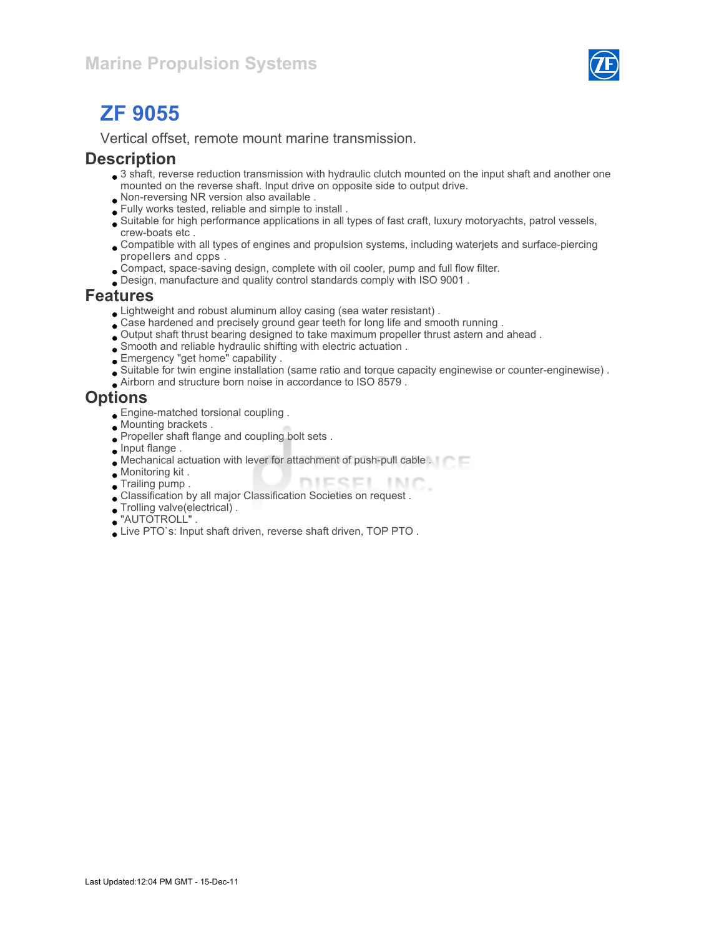

# ZF 9055

Vertical offset, remote mount marine transmission.

#### **Description**

- 3 shaft, reverse reduction transmission with hydraulic clutch mounted on the input shaft and another one mounted on the reverse shaft. Input drive on opposite side to output drive.
- Non-reversing NR version also available .
- Fully works tested, reliable and simple to install .
- Suitable for high performance applications in all types of fast craft, luxury motoryachts, patrol vessels, crew-boats etc .
- Compatible with all types of engines and propulsion systems, including waterjets and surface-piercing propellers and cpps .
- Compact, space-saving design, complete with oil cooler, pump and full flow filter.
- Design, manufacture and quality control standards comply with ISO 9001 .

#### Features

- Lightweight and robust aluminum alloy casing (sea water resistant) .
- Case hardened and precisely ground gear teeth for long life and smooth running .
- Output shaft thrust bearing designed to take maximum propeller thrust astern and ahead .
- Smooth and reliable hydraulic shifting with electric actuation .
- Emergency "get home" capability .
- Suitable for twin engine installation (same ratio and torque capacity enginewise or counter-enginewise) .
- Airborn and structure born noise in accordance to ISO 8579 .

#### **Options**

- Engine-matched torsional coupling .
- Mounting brackets .
- Propeller shaft flange and coupling bolt sets .
- **Input flange**.
- Mechanical actuation with lever for attachment of push-pull cable .
- Monitoring kit .
- **Trailing pump.** DIESEL INC
- Classification by all major Classification Societies on request .
- Trolling valve(electrical) .
- "AUTOTROLL" .
- Live PTO`s: Input shaft driven, reverse shaft driven, TOP PTO .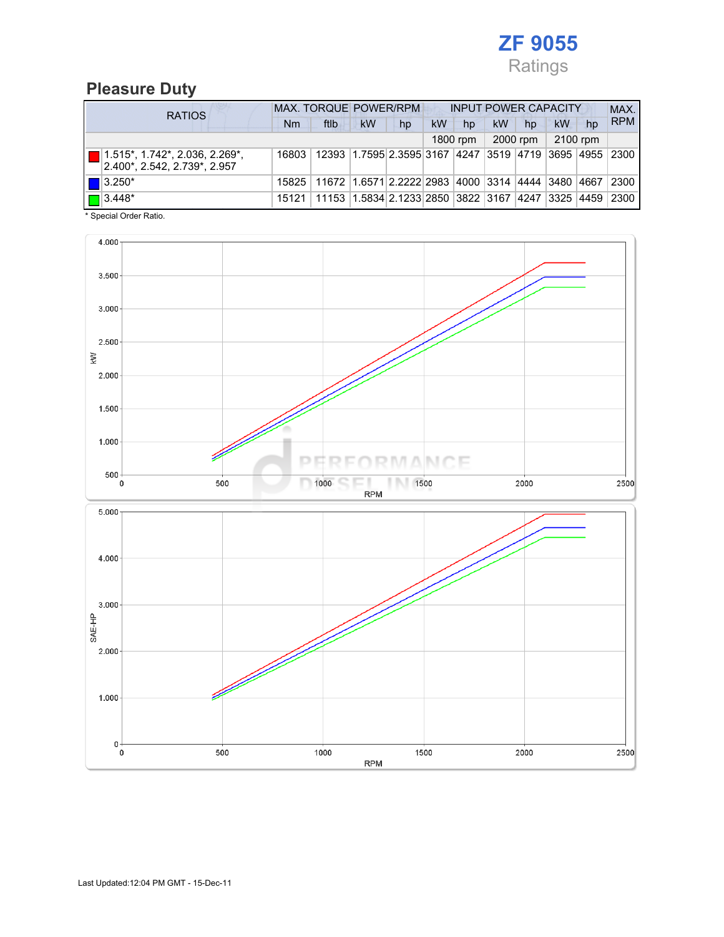

## Pleasure Duty

| <b>RATIOS</b> |                                                                       | <b>MAX. TORQUE POWER/RPM</b><br><b>INPUT POWER CAPACITY</b> |                                                                           |           |    |           |          |           |          |          |    | MAX.       |
|---------------|-----------------------------------------------------------------------|-------------------------------------------------------------|---------------------------------------------------------------------------|-----------|----|-----------|----------|-----------|----------|----------|----|------------|
|               |                                                                       | Nm                                                          | ftlb                                                                      | <b>kW</b> | hp | <b>kW</b> | hp       | <b>kW</b> | hp       | kW       | hp | <b>RPM</b> |
|               |                                                                       |                                                             |                                                                           |           |    |           | 1800 rpm |           | 2000 rpm | 2100 rpm |    |            |
|               | $\Box$ 1.515*, 1.742*, 2.036, 2.269*,<br>2.400*, 2.542, 2.739*, 2.957 | 16803                                                       | 12393 1.7595 2.3595 3167 4247 3519 4719 3695 4955 2300                    |           |    |           |          |           |          |          |    |            |
|               | $\blacksquare$ 3.250*                                                 |                                                             | 15825 11672 1.6571 2.2222 2983 4000 3314 4444 3480 4667                   |           |    |           |          |           |          |          |    | 2300       |
|               | $\Box$ 3.448*                                                         |                                                             | 15121   11153   1.5834   2.1233   2850   3822   3167   4247   3325   4459 |           |    |           |          |           |          |          |    | 2300       |

\* Special Order Ratio.

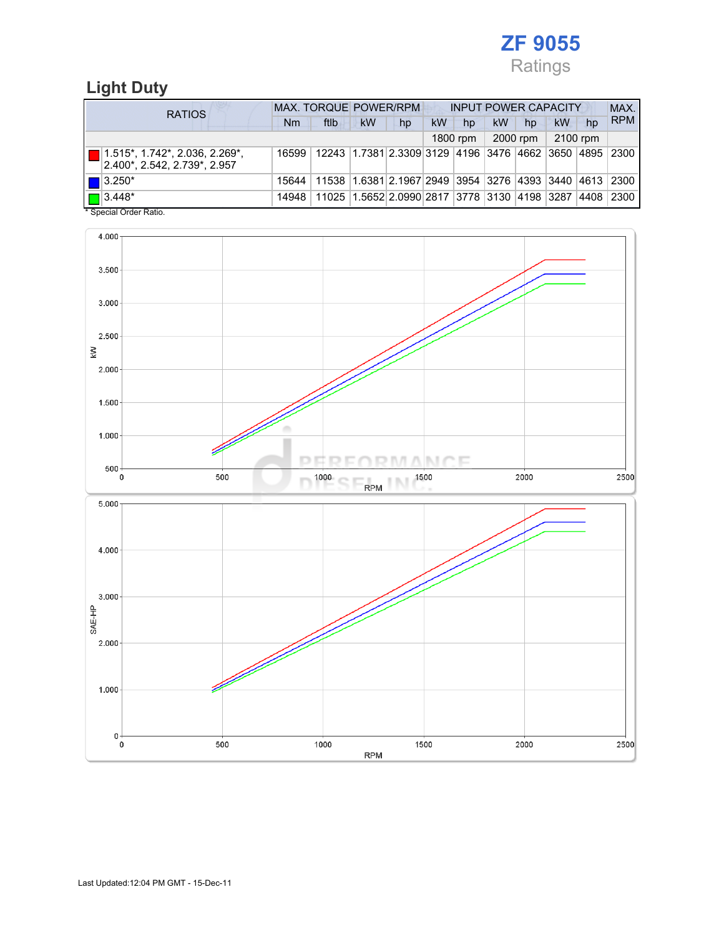

## Light Duty

| <b>RATIOS</b> |                                                                               | <b>MAX. TORQUE POWER/RPM</b><br><b>INPUT POWER CAPACITY</b> |      |           |                                                        |    |          |           | MAX.     |           |    |            |
|---------------|-------------------------------------------------------------------------------|-------------------------------------------------------------|------|-----------|--------------------------------------------------------|----|----------|-----------|----------|-----------|----|------------|
|               |                                                                               | Nm                                                          | ftlb | <b>kW</b> | hp                                                     | kW | hp       | <b>kW</b> | hp       | <b>kW</b> | hp | <b>RPM</b> |
|               |                                                                               |                                                             |      |           |                                                        |    | 1800 rpm |           | 2000 rpm | 2100 rpm  |    |            |
|               | $\blacksquare$ 1.515*, 1.742*, 2.036, 2.269*,<br>2.400*, 2.542, 2.739*, 2.957 | 16599                                                       |      |           | 12243 1.7381 2.3309 3129 4196 3476 4662 3650 4895 2300 |    |          |           |          |           |    |            |
|               | $\blacksquare$ 3.250*                                                         | 15644                                                       |      |           | 11538 1.6381 2.1967 2949 3954 3276 4393 3440 4613 2300 |    |          |           |          |           |    |            |
|               | $\boxed{\blacksquare}$ 3.448*<br>. <del>.</del> .                             | 14948                                                       |      |           | 11025 1.5652 2.0990 2817 3778 3130 4198 3287           |    |          |           |          |           |    | 4408 2300  |

\* Special Order Ratio.

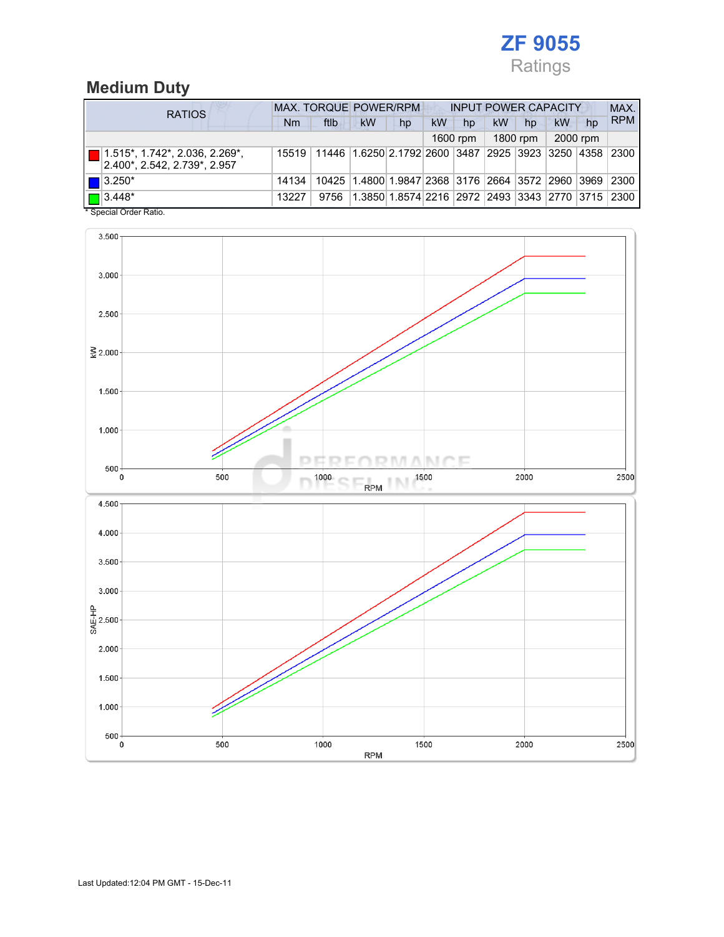

## Medium Duty

| <b>RATIOS</b>                                                    | MAX. TORQUE POWER/RPM<br><b>INPUT POWER CAPACITY</b> |      |           |                                                        |           |          |           |          |    | MAX.     |            |
|------------------------------------------------------------------|------------------------------------------------------|------|-----------|--------------------------------------------------------|-----------|----------|-----------|----------|----|----------|------------|
|                                                                  | Nm                                                   | ftlb | <b>kW</b> | hp                                                     | <b>kW</b> | hp       | <b>kW</b> | hp       | kW | hp       | <b>RPM</b> |
|                                                                  |                                                      |      |           |                                                        |           | 1600 rpm |           | 1800 rpm |    | 2000 rpm |            |
| 1.515*, 1.742*, 2.036, 2.269*,<br>2.400*, 2.542, 2.739*, 2.957   | 15519                                                |      |           | 11446 1.6250 2.1792 2600 3487 2925 3923 3250 4358 2300 |           |          |           |          |    |          |            |
| $\blacksquare$ 3.250*                                            | 14134                                                |      |           | 10425 1.4800 1.9847 2368 3176 2664 3572 2960 3969 2300 |           |          |           |          |    |          |            |
| $\blacksquare$ 3.448*<br>$\ddotsc$ $\ddotsc$ $\ddotsc$ $\ddotsc$ | 13227                                                | 9756 |           | 1.3850 1.8574 2216 2972 2493 3343 2770 3715 2300       |           |          |           |          |    |          |            |

\* Special Order Ratio.

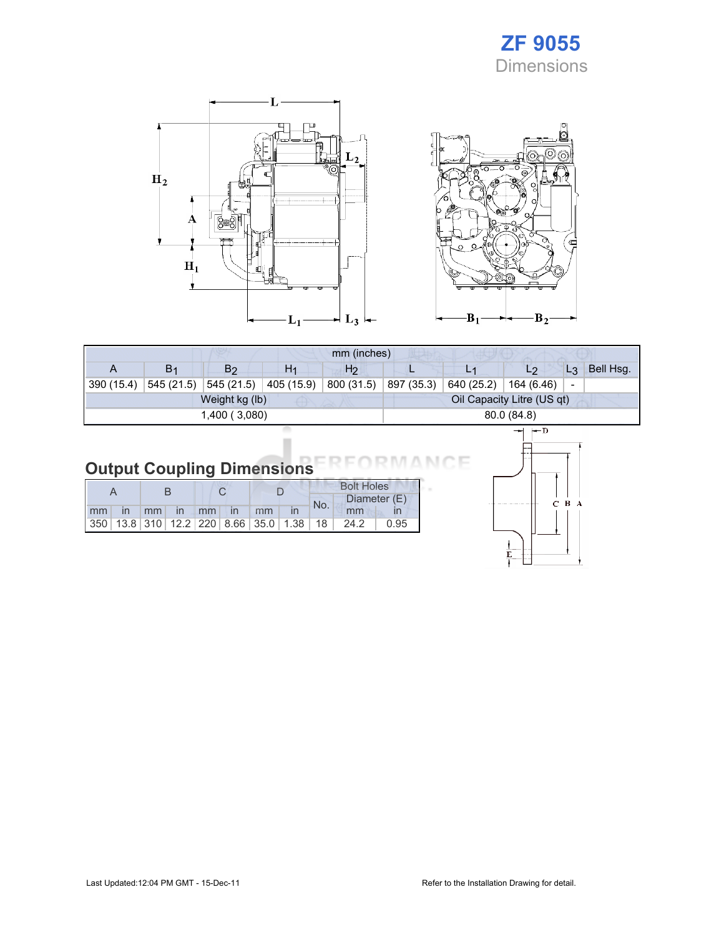## ZF 9055 Dimensions





|            | mm (inches)    |                |                |                |            |                            |                      |           |  |  |  |
|------------|----------------|----------------|----------------|----------------|------------|----------------------------|----------------------|-----------|--|--|--|
| A          | B <sub>1</sub> | B2             | H <sub>1</sub> | H <sub>2</sub> |            |                            | L <sub>3</sub><br>L2 | Bell Hsg. |  |  |  |
| 390 (15.4) | 545 (21.5)     | 545 (21.5)     | 405 (15.9)     | 800 (31.5)     | 897 (35.3) | 640 (25.2)                 | 164 (6.46)<br>-      |           |  |  |  |
|            |                | Weight kg (lb) |                |                |            | Oil Capacity Litre (US qt) |                      |           |  |  |  |
|            |                | 1,400 (3,080)  |                | 80.0(84.8)     |            |                            |                      |           |  |  |  |
|            |                |                |                |                |            | $\leftarrow$ n<br>—        |                      |           |  |  |  |

#### Output Coupling Dimensions ìΕ N 6

|  |  |  |  |  |                   |    |  | <b>Bolt Holes</b> |                                                  |      |  |
|--|--|--|--|--|-------------------|----|--|-------------------|--------------------------------------------------|------|--|
|  |  |  |  |  |                   |    |  | No.               | Diameter (E)                                     |      |  |
|  |  |  |  |  | mm in mm in mm in | mm |  |                   | mm                                               |      |  |
|  |  |  |  |  |                   |    |  |                   | $ 350 $ 13.8 310 12.2 220 8.66 35.0 1.38 18 24.2 | 0.95 |  |